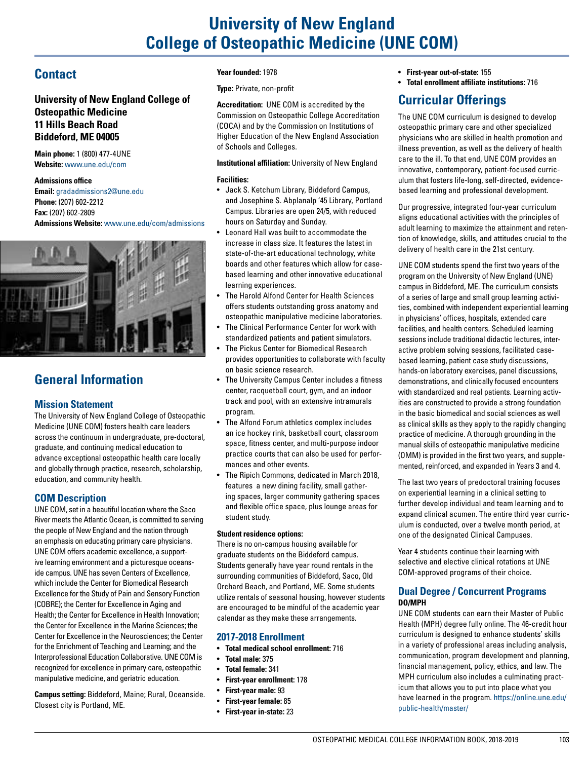# **University of New England College of Osteopathic Medicine (UNE COM)**

# **Contact**

**University of New England College of Osteopathic Medicine 11 Hills Beach Road Biddeford, ME 04005**

**Main phone:** 1 (800) 477-4UNE **Website:** [www.une.edu/com](http://www.une.edu/com)

**Admissions office Email:** [gradadmissions2@une.edu](mailto:gradadmissions2@une.edu) **Phone:** (207) 602-2212

**Fax:** (207) 602-2809 **Admissions Website:** <www.une.edu/com/admissions>



# **General Information**

## **Mission Statement**

The University of New England College of Osteopathic Medicine (UNE COM) fosters health care leaders across the continuum in undergraduate, pre-doctoral, graduate, and continuing medical education to advance exceptional osteopathic health care locally and globally through practice, research, scholarship, education, and community health.

## **COM Description**

UNE COM, set in a beautiful location where the Saco River meets the Atlantic Ocean, is committed to serving the people of New England and the nation through an emphasis on educating primary care physicians. UNE COM offers academic excellence, a supportive learning environment and a picturesque oceanside campus. UNE has seven Centers of Excellence, which include the Center for Biomedical Research Excellence for the Study of Pain and Sensory Function (COBRE); the Center for Excellence in Aging and Health; the Center for Excellence in Health Innovation; the Center for Excellence in the Marine Sciences; the Center for Excellence in the Neurosciences; the Center for the Enrichment of Teaching and Learning; and the Interprofessional Education Collaborative. UNE COM is recognized for excellence in primary care, osteopathic manipulative medicine, and geriatric education.

**Campus setting:** Biddeford, Maine; Rural, Oceanside. Closest city is Portland, ME.

#### **Year founded:** 1978

**Type:** Private, non-profit

**Accreditation:** UNE COM is accredited by the Commission on Osteopathic College Accreditation (COCA) and by the Commission on Institutions of Higher Education of the New England Association of Schools and Colleges.

**Institutional affiliation:** University of New England

#### **Facilities:**

- Jack S. Ketchum Library, Biddeford Campus, and Josephine S. Abplanalp '45 Library, Portland Campus. Libraries are open 24/5, with reduced hours on Saturday and Sunday.
- Leonard Hall was built to accommodate the increase in class size. It features the latest in state-of-the-art educational technology, white boards and other features which allow for casebased learning and other innovative educational learning experiences.
- The Harold Alfond Center for Health Sciences offers students outstanding gross anatomy and osteopathic manipulative medicine laboratories.
- The Clinical Performance Center for work with standardized patients and patient simulators.
- The Pickus Center for Biomedical Research provides opportunities to collaborate with faculty on basic science research.
- The University Campus Center includes a fitness center, racquetball court, gym, and an indoor track and pool, with an extensive intramurals program.
- The Alfond Forum athletics complex includes an ice hockey rink, basketball court, classroom space, fitness center, and multi-purpose indoor practice courts that can also be used for performances and other events.
- The Ripich Commons, dedicated in March 2018, features a new dining facility, small gathering spaces, larger community gathering spaces and flexible office space, plus lounge areas for student study.

#### **Student residence options:**

There is no on-campus housing available for graduate students on the Biddeford campus. Students generally have year round rentals in the surrounding communities of Biddeford, Saco, Old Orchard Beach, and Portland, ME. Some students utilize rentals of seasonal housing, however students are encouraged to be mindful of the academic year calendar as they make these arrangements.

#### **2017-2018 Enrollment**

- **Total medical school enrollment:** 716
- **Total male:** 375
- **Total female:** 341
- **First-year enrollment:** 178

• **First-year male:** 93 • **First-year female:** 85 • **First-year in-state:** 23

- **First-year out-of-state:** 155
- **Total enrollment affiliate institutions:** 716

# **Curricular Offerings**

The UNE COM curriculum is designed to develop osteopathic primary care and other specialized physicians who are skilled in health promotion and illness prevention, as well as the delivery of health care to the ill. To that end, UNE COM provides an innovative, contemporary, patient-focused curriculum that fosters life-long, self-directed, evidencebased learning and professional development.

Our progressive, integrated four-year curriculum aligns educational activities with the principles of adult learning to maximize the attainment and retention of knowledge, skills, and attitudes crucial to the delivery of health care in the 21st century.

UNE COM students spend the first two years of the program on the University of New England (UNE) campus in Biddeford, ME. The curriculum consists of a series of large and small group learning activities, combined with independent experiential learning in physicians' offices, hospitals, extended care facilities, and health centers. Scheduled learning sessions include traditional didactic lectures, interactive problem solving sessions, facilitated casebased learning, patient case study discussions, hands-on laboratory exercises, panel discussions, demonstrations, and clinically focused encounters with standardized and real patients. Learning activities are constructed to provide a strong foundation in the basic biomedical and social sciences as well as clinical skills as they apply to the rapidly changing practice of medicine. A thorough grounding in the manual skills of osteopathic manipulative medicine (OMM) is provided in the first two years, and supplemented, reinforced, and expanded in Years 3 and 4.

The last two years of predoctoral training focuses on experiential learning in a clinical setting to further develop individual and team learning and to expand clinical acumen. The entire third year curriculum is conducted, over a twelve month period, at one of the designated Clinical Campuses.

Year 4 students continue their learning with selective and elective clinical rotations at UNE COM-approved programs of their choice.

## **Dual Degree / Concurrent Programs DO/MPH**

UNE COM students can earn their Master of Public Health (MPH) degree fully online. The 46-credit hour curriculum is designed to enhance students' skills in a variety of professional areas including analysis, communication, program development and planning, financial management, policy, ethics, and law. The MPH curriculum also includes a culminating practicum that allows you to put into place what you have learned in the program. https://online.une.edu/ public-health/master/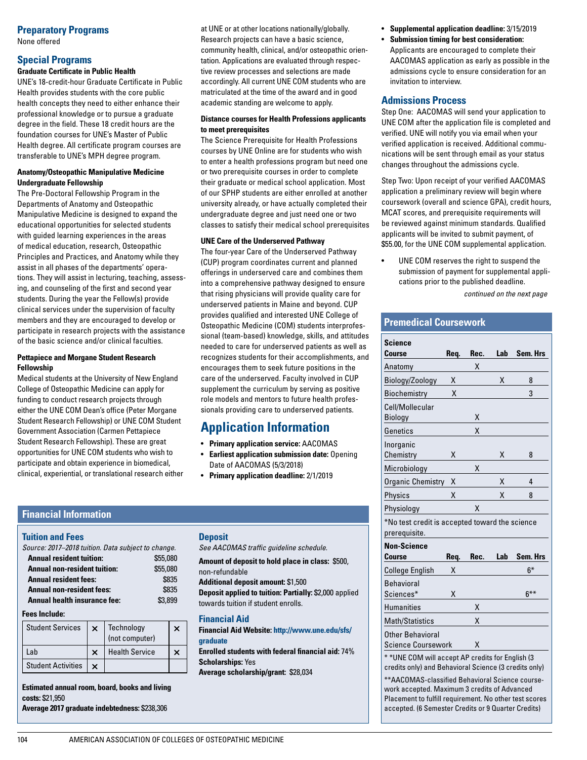## **Preparatory Programs**

None offered

#### **Special Programs Graduate Certificate in Public Health**

UNE's 18-credit-hour Graduate Certificate in Public Health provides students with the core public health concepts they need to either enhance their professional knowledge or to pursue a graduate degree in the field. These 18 credit hours are the foundation courses for UNE's Master of Public Health degree. All certificate program courses are transferable to UNE's MPH degree program.

#### **Anatomy/Osteopathic Manipulative Medicine Undergraduate Fellowship**

The Pre-Doctoral Fellowship Program in the Departments of Anatomy and Osteopathic Manipulative Medicine is designed to expand the educational opportunities for selected students with guided learning experiences in the areas of medical education, research, Osteopathic Principles and Practices, and Anatomy while they assist in all phases of the departments' operations. They will assist in lecturing, teaching, assessing, and counseling of the first and second year students. During the year the Fellow(s) provide clinical services under the supervision of faculty members and they are encouraged to develop or participate in research projects with the assistance of the basic science and/or clinical faculties.

#### **Pettapiece and Morgane Student Research Fellowship**

Medical students at the University of New England College of Osteopathic Medicine can apply for funding to conduct research projects through either the UNE COM Dean's office (Peter Morgane Student Research Fellowship) or UNE COM Student Government Association (Carmen Pettapiece Student Research Fellowship). These are great opportunities for UNE COM students who wish to participate and obtain experience in biomedical, clinical, experiential, or translational research either

at UNE or at other locations nationally/globally. Research projects can have a basic science, community health, clinical, and/or osteopathic orientation. Applications are evaluated through respective review processes and selections are made accordingly. All current UNE COM students who are matriculated at the time of the award and in good academic standing are welcome to apply.

#### **Distance courses for Health Professions applicants to meet prerequisites**

The Science Prerequisite for Health Professions courses by UNE Online are for students who wish to enter a health professions program but need one or two prerequisite courses in order to complete their graduate or medical school application. Most of our SPHP students are either enrolled at another university already, or have actually completed their undergraduate degree and just need one or two classes to satisfy their medical school prerequisites

#### **UNE Care of the Underserved Pathway**

The four-year Care of the Underserved Pathway (CUP) program coordinates current and planned offerings in underserved care and combines them into a comprehensive pathway designed to ensure that rising physicians will provide quality care for underserved patients in Maine and beyond. CUP provides qualified and interested UNE College of Osteopathic Medicine (COM) students interprofessional (team-based) knowledge, skills, and attitudes needed to care for underserved patients as well as recognizes students for their accomplishments, and encourages them to seek future positions in the care of the underserved. Faculty involved in CUP supplement the curriculum by serving as positive role models and mentors to future health professionals providing care to underserved patients.

# **Application Information**

- **Primary application service:** AACOMAS
- **Earliest application submission date:** Opening Date of AACOMAS (5/3/2018)
- **Primary application deadline:** 2/1/2019

## **Financial Information**

#### **Tuition and Fees**

*Source: 2017–2018 tuition. Data subject to change.* 

| <b>Annual resident tuition:</b>     | \$55,080 |
|-------------------------------------|----------|
| <b>Annual non-resident tuition:</b> | \$55,080 |
| <b>Annual resident fees:</b>        | \$835    |
| <b>Annual non-resident fees:</b>    | \$835    |
| Annual health insurance fee:        | \$3,899  |

#### **Fees Include:**

| Student Services       | $\times$   Technology<br>(not computer) | × |
|------------------------|-----------------------------------------|---|
| Lab                    | <b>Health Service</b>                   |   |
| Student Activities   x |                                         |   |

**Estimated annual room, board, books and living costs:** \$21,950 **Average 2017 graduate indebtedness:** \$238,306

#### **Deposit**

*See AACOMAS traffic guideline schedule.*

**Amount of deposit to hold place in class:** \$500, non-refundable

**Additional deposit amount:** \$1,500 **Deposit applied to tuition: Partially:** \$2,000 applied towards tuition if student enrolls.

#### **Financial Aid**

**Financial Aid Website: http://www.une.edu/sfs/ gradua[te](www.une.edu/sfs/graduate)**

**Enrolled students with federal financial aid:** 74% **Scholarships:** Yes

**Average scholarship/grant:** \$28,034

- **Supplemental application deadline:** 3/15/2019
- **Submission timing for best consideration:** Applicants are encouraged to complete their AACOMAS application as early as possible in the admissions cycle to ensure consideration for an invitation to interview.

## **Admissions Process**

Step One: AACOMAS will send your application to UNE COM after the application file is completed and verified. UNE will notify you via email when your verified application is received. Additional communications will be sent through email as your status changes throughout the admissions cycle.

Step Two: Upon receipt of your verified AACOMAS application a preliminary review will begin where coursework (overall and science GPA), credit hours, MCAT scores, and prerequisite requirements will be reviewed against minimum standards. Qualified applicants will be invited to submit payment, of \$55.00, for the UNE COM supplemental application.

UNE COM reserves the right to suspend the submission of payment for supplemental applications prior to the published deadline. *continued on the next page*

## **Premedical Coursework**

| <b>Science</b><br><b>Course</b>                                                                            | Req. | Rec. | Lab | Sem. Hrs |  |  |
|------------------------------------------------------------------------------------------------------------|------|------|-----|----------|--|--|
| Anatomy                                                                                                    |      | χ    |     |          |  |  |
| Biology/Zoology                                                                                            | Χ    |      | Χ   | 8        |  |  |
| Biochemistry                                                                                               | X    |      |     | 3        |  |  |
| Cell/Mollecular                                                                                            |      |      |     |          |  |  |
| Biology                                                                                                    |      | Χ    |     |          |  |  |
| Genetics                                                                                                   |      | X    |     |          |  |  |
| Inorganic                                                                                                  |      |      |     |          |  |  |
| Chemistry                                                                                                  | Χ    |      | Χ   | 8        |  |  |
| Microbiology                                                                                               |      | Χ    |     |          |  |  |
| Organic Chemistry                                                                                          | x    |      | Χ   | 4        |  |  |
| Physics                                                                                                    | Χ    |      | Χ   | 8        |  |  |
| Physiology                                                                                                 |      | X    |     |          |  |  |
| *No test credit is accepted toward the science                                                             |      |      |     |          |  |  |
| prerequisite.                                                                                              |      |      |     |          |  |  |
| <b>Non-Science</b>                                                                                         |      |      |     |          |  |  |
| Course                                                                                                     | Req. | Rec. | Lab | Sem. Hrs |  |  |
| College English                                                                                            | x    |      |     | $6*$     |  |  |
| <b>Behavioral</b>                                                                                          |      |      |     |          |  |  |
| Sciences*                                                                                                  | Χ    |      |     | $6***$   |  |  |
| <b>Humanities</b>                                                                                          |      | Χ    |     |          |  |  |
| <b>Math/Statistics</b>                                                                                     |      | Χ    |     |          |  |  |
| <b>Other Behavioral</b>                                                                                    |      |      |     |          |  |  |
| <b>Science Coursework</b>                                                                                  |      | χ    |     |          |  |  |
| * * UNE COM will accept AP credits for English (3<br>credits only) and Behavioral Science (3 credits only) |      |      |     |          |  |  |

\*\*AACOMAS-classified Behavioral Science coursework accepted. Maximum 3 credits of Advanced Placement to fulfill requirement. No other test scores accepted. (6 Semester Credits or 9 Quarter Credits)